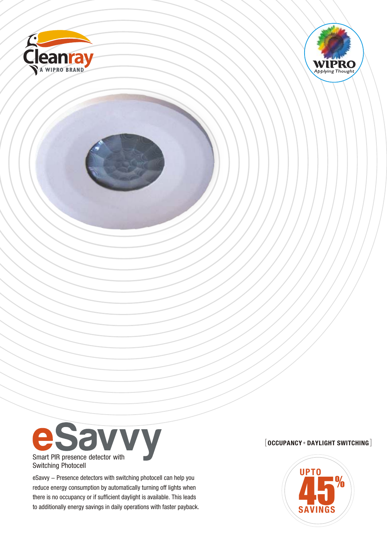





Switching Photocell

eSavvy - Presence detectors with switching photocell can help you reduce energy consumption by automatically turning off lights when there is no occupancy or if sufficient daylight is available. This leads to additionally energy savings in daily operations with faster payback.

# $[$  OCCUPANCY + DAYLIGHT SWITCHING $]$